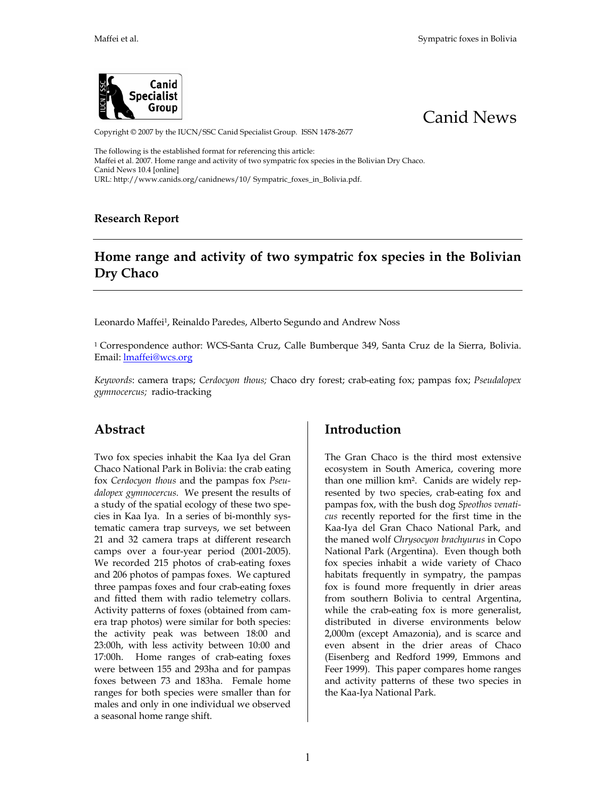



Copyright © 2007 by the IUCN/SSC Canid Specialist Group. ISSN 1478-2677

The following is the established format for referencing this article: Maffei et al. 2007. Home range and activity of two sympatric fox species in the Bolivian Dry Chaco. Canid News 10.4 [online] URL: http://www.canids.org/canidnews/10/ Sympatric\_foxes\_in\_Bolivia.pdf.

**Research Report** 

## **Home range and activity of two sympatric fox species in the Bolivian Dry Chaco**

Leonardo Maffei1, Reinaldo Paredes, Alberto Segundo and Andrew Noss

<sup>1</sup> Correspondence author: WCS-Santa Cruz, Calle Bumberque 349, Santa Cruz de la Sierra, Bolivia. Email: **Imaffei@wcs.org** 

*Keywords*: camera traps; *Cerdocyon thous;* Chaco dry forest; crab-eating fox; pampas fox; *Pseudalopex gymnocercus;* radio-tracking

## **Abstract**

Two fox species inhabit the Kaa Iya del Gran Chaco National Park in Bolivia: the crab eating fox *Cerdocyon thous* and the pampas fox *Pseudalopex gymnocercus.* We present the results of a study of the spatial ecology of these two species in Kaa Iya. In a series of bi-monthly systematic camera trap surveys, we set between 21 and 32 camera traps at different research camps over a four-year period (2001-2005). We recorded 215 photos of crab-eating foxes and 206 photos of pampas foxes. We captured three pampas foxes and four crab-eating foxes and fitted them with radio telemetry collars. Activity patterns of foxes (obtained from camera trap photos) were similar for both species: the activity peak was between 18:00 and 23:00h, with less activity between 10:00 and 17:00h. Home ranges of crab-eating foxes were between 155 and 293ha and for pampas foxes between 73 and 183ha. Female home ranges for both species were smaller than for males and only in one individual we observed a seasonal home range shift.

## **Introduction**

The Gran Chaco is the third most extensive ecosystem in South America, covering more than one million km². Canids are widely represented by two species, crab-eating fox and pampas fox, with the bush dog *Speothos venaticus* recently reported for the first time in the Kaa-Iya del Gran Chaco National Park, and the maned wolf *Chrysocyon brachyurus* in Copo National Park (Argentina). Even though both fox species inhabit a wide variety of Chaco habitats frequently in sympatry, the pampas fox is found more frequently in drier areas from southern Bolivia to central Argentina, while the crab-eating fox is more generalist, distributed in diverse environments below 2,000m (except Amazonia), and is scarce and even absent in the drier areas of Chaco (Eisenberg and Redford 1999, Emmons and Feer 1999). This paper compares home ranges and activity patterns of these two species in the Kaa-Iya National Park.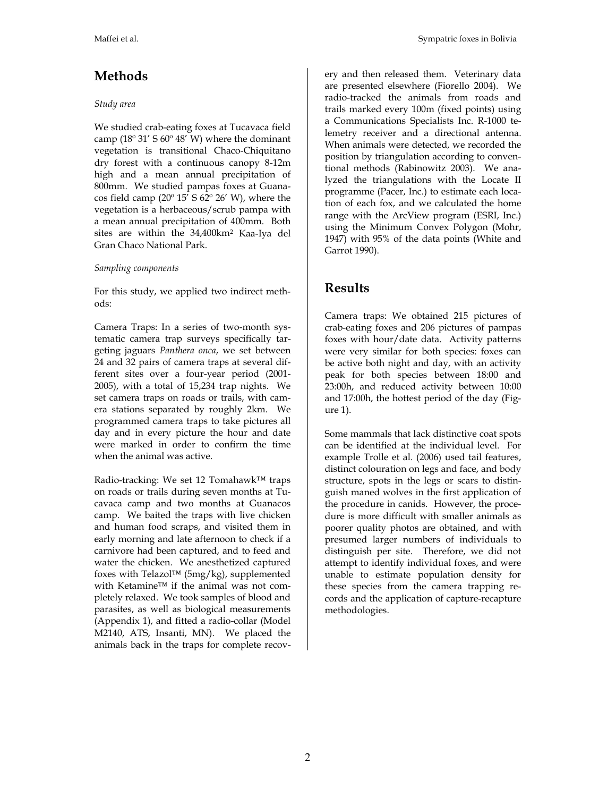# **Methods**

#### *Study area*

We studied crab-eating foxes at Tucavaca field camp  $(18^{\circ} 31' 5 60^{\circ} 48' W)$  where the dominant vegetation is transitional Chaco-Chiquitano dry forest with a continuous canopy 8-12m high and a mean annual precipitation of 800mm. We studied pampas foxes at Guanacos field camp ( $20^{\circ}$  15' S  $62^{\circ}$  26' W), where the vegetation is a herbaceous/scrub pampa with a mean annual precipitation of 400mm. Both sites are within the 34,400km2 Kaa-Iya del Gran Chaco National Park.

#### *Sampling components*

For this study, we applied two indirect methods:

Camera Traps: In a series of two-month systematic camera trap surveys specifically targeting jaguars *Panthera onca*, we set between 24 and 32 pairs of camera traps at several different sites over a four-year period (2001- 2005), with a total of 15,234 trap nights. We set camera traps on roads or trails, with camera stations separated by roughly 2km. We programmed camera traps to take pictures all day and in every picture the hour and date were marked in order to confirm the time when the animal was active.

Radio-tracking: We set 12 Tomahawk™ traps on roads or trails during seven months at Tucavaca camp and two months at Guanacos camp. We baited the traps with live chicken and human food scraps, and visited them in early morning and late afternoon to check if a carnivore had been captured, and to feed and water the chicken. We anesthetized captured foxes with Telazol™ (5mg/kg), supplemented with Ketamine™ if the animal was not completely relaxed. We took samples of blood and parasites, as well as biological measurements (Appendix 1), and fitted a radio-collar (Model M2140, ATS, Insanti, MN). We placed the animals back in the traps for complete recovery and then released them. Veterinary data are presented elsewhere (Fiorello 2004). We radio-tracked the animals from roads and trails marked every 100m (fixed points) using a Communications Specialists Inc. R-1000 telemetry receiver and a directional antenna. When animals were detected, we recorded the position by triangulation according to conventional methods (Rabinowitz 2003). We analyzed the triangulations with the Locate II programme (Pacer, Inc.) to estimate each location of each fox, and we calculated the home range with the ArcView program (ESRI, Inc.) using the Minimum Convex Polygon (Mohr, 1947) with 95% of the data points (White and Garrot 1990).

## **Results**

Camera traps: We obtained 215 pictures of crab-eating foxes and 206 pictures of pampas foxes with hour/date data. Activity patterns were very similar for both species: foxes can be active both night and day, with an activity peak for both species between 18:00 and 23:00h, and reduced activity between 10:00 and 17:00h, the hottest period of the day (Figure 1).

Some mammals that lack distinctive coat spots can be identified at the individual level. For example Trolle et al. (2006) used tail features, distinct colouration on legs and face, and body structure, spots in the legs or scars to distinguish maned wolves in the first application of the procedure in canids. However, the procedure is more difficult with smaller animals as poorer quality photos are obtained, and with presumed larger numbers of individuals to distinguish per site. Therefore, we did not attempt to identify individual foxes, and were unable to estimate population density for these species from the camera trapping records and the application of capture-recapture methodologies.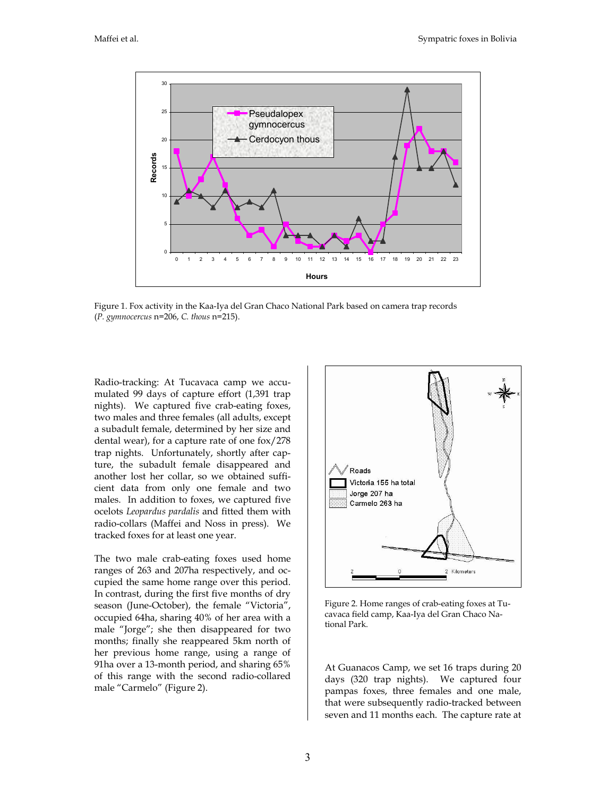

Figure 1. Fox activity in the Kaa-Iya del Gran Chaco National Park based on camera trap records (*P. gymnocercus* n=206, *C. thous* n=215).

Radio-tracking: At Tucavaca camp we accumulated 99 days of capture effort (1,391 trap nights). We captured five crab-eating foxes, two males and three females (all adults, except a subadult female, determined by her size and dental wear), for a capture rate of one fox/278 trap nights. Unfortunately, shortly after capture, the subadult female disappeared and another lost her collar, so we obtained sufficient data from only one female and two males. In addition to foxes, we captured five ocelots *Leopardus pardalis* and fitted them with radio-collars (Maffei and Noss in press). We tracked foxes for at least one year.

The two male crab-eating foxes used home ranges of 263 and 207ha respectively, and occupied the same home range over this period. In contrast, during the first five months of dry season (June-October), the female "Victoria", occupied 64ha, sharing 40% of her area with a male "Jorge"; she then disappeared for two months; finally she reappeared 5km north of her previous home range, using a range of 91ha over a 13-month period, and sharing 65% of this range with the second radio-collared male "Carmelo" (Figure 2).



Figure 2. Home ranges of crab-eating foxes at Tucavaca field camp, Kaa-Iya del Gran Chaco National Park.

At Guanacos Camp, we set 16 traps during 20 days (320 trap nights). We captured four pampas foxes, three females and one male, that were subsequently radio-tracked between seven and 11 months each. The capture rate at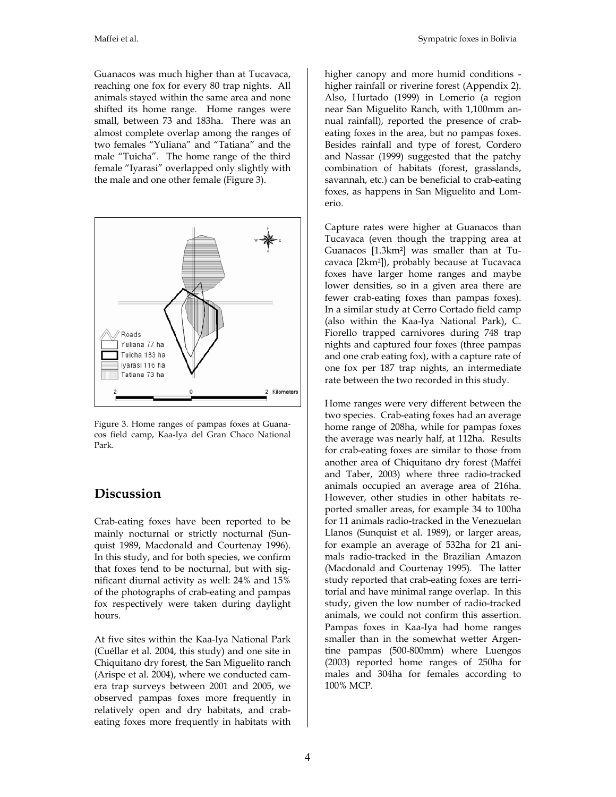Guanacos was much higher than at Tucavaca, reaching one fox for every 80 trap nights. All animals stayed within the same area and none shifted its home range. Home ranges were small, between 73 and 183ha. There was an almost complete overlap among the ranges of two females "Yuliana" and "Tatiana" and the male "Tuicha". The home range of the third female "Iyarasi" overlapped only slightly with the male and one other female (Figure 3).



Figure 3. Home ranges of pampas foxes at Guanacos field camp, Kaa-Iya del Gran Chaco National Park.

## **Discussion**

Crab-eating foxes have been reported to be mainly nocturnal or strictly nocturnal (Sunquist 1989, Macdonald and Courtenay 1996). In this study, and for both species, we confirm that foxes tend to be nocturnal, but with significant diurnal activity as well: 24% and 15% of the photographs of crab-eating and pampas fox respectively were taken during daylight hours.

At five sites within the Kaa-Iya National Park (Cuéllar et al. 2004, this study) and one site in Chiquitano dry forest, the San Miguelito ranch (Arispe et al. 2004), where we conducted camera trap surveys between 2001 and 2005, we observed pampas foxes more frequently in relatively open and dry habitats, and crabeating foxes more frequently in habitats with higher canopy and more humid conditions higher rainfall or riverine forest (Appendix 2). Also, Hurtado (1999) in Lomerio (a region near San Miguelito Ranch, with 1,100mm annual rainfall), reported the presence of crabeating foxes in the area, but no pampas foxes. Besides rainfall and type of forest, Cordero and Nassar (1999) suggested that the patchy combination of habitats (forest, grasslands, savannah, etc.) can be beneficial to crab-eating foxes, as happens in San Miguelito and Lomerio.

Capture rates were higher at Guanacos than Tucavaca (even though the trapping area at Guanacos [1.3km²] was smaller than at Tucavaca [2km²]), probably because at Tucavaca foxes have larger home ranges and maybe lower densities, so in a given area there are fewer crab-eating foxes than pampas foxes). In a similar study at Cerro Cortado field camp (also within the Kaa-Iya National Park), C. Fiorello trapped carnivores during 748 trap nights and captured four foxes (three pampas and one crab eating fox), with a capture rate of one fox per 187 trap nights, an intermediate rate between the two recorded in this study.

Home ranges were very different between the two species. Crab-eating foxes had an average home range of 208ha, while for pampas foxes the average was nearly half, at 112ha. Results for crab-eating foxes are similar to those from another area of Chiquitano dry forest (Maffei and Taber, 2003) where three radio-tracked animals occupied an average area of 216ha. However, other studies in other habitats reported smaller areas, for example 34 to 100ha for 11 animals radio-tracked in the Venezuelan Llanos (Sunquist et al. 1989), or larger areas, for example an average of 532ha for 21 animals radio-tracked in the Brazilian Amazon (Macdonald and Courtenay 1995). The latter study reported that crab-eating foxes are territorial and have minimal range overlap. In this study, given the low number of radio-tracked animals, we could not confirm this assertion. Pampas foxes in Kaa-Iya had home ranges smaller than in the somewhat wetter Argentine pampas (500-800mm) where Luengos (2003) reported home ranges of 250ha for males and 304ha for females according to 100% MCP.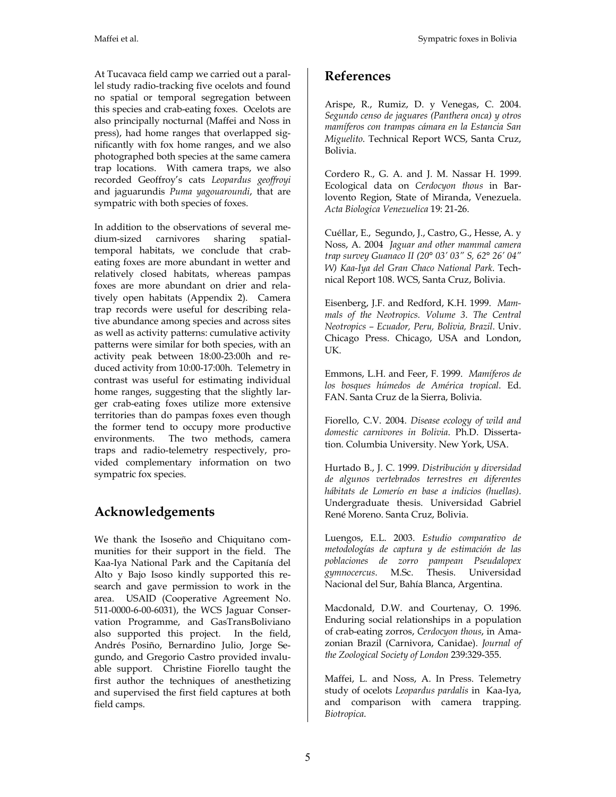At Tucavaca field camp we carried out a parallel study radio-tracking five ocelots and found no spatial or temporal segregation between this species and crab-eating foxes. Ocelots are also principally nocturnal (Maffei and Noss in press), had home ranges that overlapped significantly with fox home ranges, and we also photographed both species at the same camera trap locations. With camera traps, we also recorded Geoffroy's cats *Leopardus geoffroyi* and jaguarundis *Puma yagouaroundi*, that are sympatric with both species of foxes.

In addition to the observations of several medium-sized carnivores sharing spatialtemporal habitats, we conclude that crabeating foxes are more abundant in wetter and relatively closed habitats, whereas pampas foxes are more abundant on drier and relatively open habitats (Appendix 2). Camera trap records were useful for describing relative abundance among species and across sites as well as activity patterns: cumulative activity patterns were similar for both species, with an activity peak between 18:00-23:00h and reduced activity from 10:00-17:00h. Telemetry in contrast was useful for estimating individual home ranges, suggesting that the slightly larger crab-eating foxes utilize more extensive territories than do pampas foxes even though the former tend to occupy more productive environments. The two methods, camera traps and radio-telemetry respectively, provided complementary information on two sympatric fox species.

# **Acknowledgements**

We thank the Isoseño and Chiquitano communities for their support in the field. The Kaa-Iya National Park and the Capitanía del Alto y Bajo Isoso kindly supported this research and gave permission to work in the area. USAID (Cooperative Agreement No. 511-0000-6-00-6031), the WCS Jaguar Conservation Programme, and GasTransBoliviano also supported this project. In the field, Andrés Posiño, Bernardino Julio, Jorge Segundo, and Gregorio Castro provided invaluable support. Christine Fiorello taught the first author the techniques of anesthetizing and supervised the first field captures at both field camps.

## **References**

Arispe, R., Rumiz, D. y Venegas, C. 2004. *Segundo censo de jaguares (Panthera onca) y otros mamíferos con trampas cámara en la Estancia San Miguelito*. Technical Report WCS, Santa Cruz, Bolivia.

Cordero R., G. A. and J. M. Nassar H. 1999. Ecological data on *Cerdocyon thous* in Barlovento Region, State of Miranda, Venezuela. *Acta Biologica Venezuelica* 19: 21-26.

Cuéllar, E., Segundo, J., Castro, G., Hesse, A. y Noss, A. 2004 *Jaguar and other mammal camera trap survey Guanaco II (20° 03' 03" S, 62° 26' 04" W) Kaa-Iya del Gran Chaco National Park*. Technical Report 108. WCS, Santa Cruz, Bolivia.

Eisenberg, J.F. and Redford, K.H. 1999. *Mammals of the Neotropics. Volume 3*. *The Central Neotropics – Ecuador, Peru, Bolivia, Brazil*. Univ. Chicago Press. Chicago, USA and London, UK.

Emmons, L.H. and Feer, F. 1999. *Mamíferos de los bosques húmedos de América tropical*. Ed. FAN. Santa Cruz de la Sierra, Bolivia.

Fiorello, C.V. 2004. *Disease ecology of wild and domestic carnivores in Bolivia*. Ph.D. Dissertation. Columbia University. New York, USA.

Hurtado B., J. C. 1999. *Distribución y diversidad de algunos vertebrados terrestres en diferentes hábitats de Lomerío en base a indicios (huellas)*. Undergraduate thesis. Universidad Gabriel René Moreno. Santa Cruz, Bolivia.

Luengos, E.L. 2003. *Estudio comparativo de metodologías de captura y de estimación de las poblaciones de zorro pampean Pseudalopex gymnocercus*. M.Sc. Thesis. Universidad Nacional del Sur, Bahía Blanca, Argentina.

Macdonald, D.W. and Courtenay, O. 1996. Enduring social relationships in a population of crab-eating zorros, *Cerdocyon thous*, in Amazonian Brazil (Carnivora, Canidae). *Journal of the Zoological Society of London* 239:329-355.

Maffei, L. and Noss, A. In Press. Telemetry study of ocelots *Leopardus pardalis* in Kaa-Iya, and comparison with camera trapping. *Biotropica*.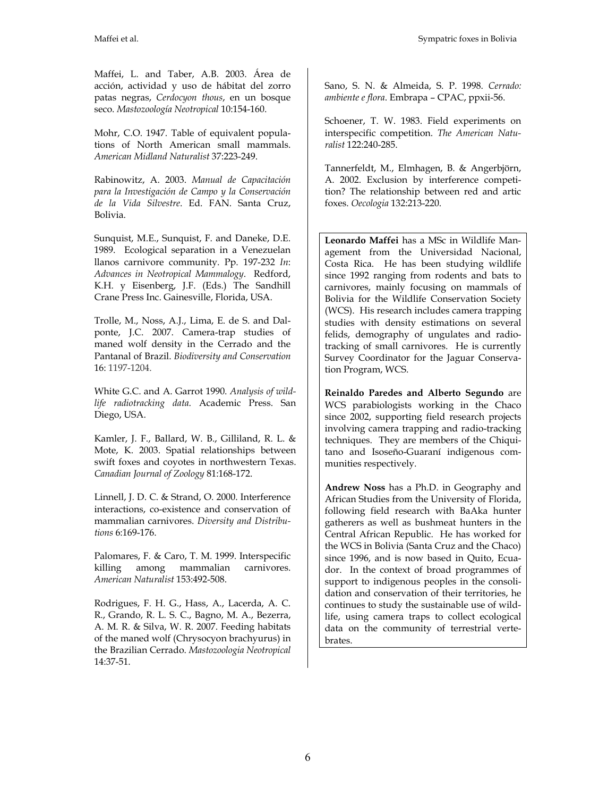Maffei, L. and Taber, A.B. 2003. Área de acción, actividad y uso de hábitat del zorro patas negras, *Cerdocyon thous*, en un bosque seco. *Mastozoología Neotropical* 10:154-160.

Mohr, C.O. 1947. Table of equivalent populations of North American small mammals. *American Midland Naturalist* 37:223-249.

Rabinowitz, A. 2003. *Manual de Capacitación para la Investigación de Campo y la Conservación de la Vida Silvestre*. Ed. FAN. Santa Cruz, Bolivia.

Sunquist, M.E., Sunquist, F. and Daneke, D.E. 1989. Ecological separation in a Venezuelan llanos carnivore community. Pp. 197-232 *In*: *Advances in Neotropical Mammalogy*. Redford, K.H. y Eisenberg, J.F. (Eds.) The Sandhill Crane Press Inc. Gainesville, Florida, USA.

Trolle, M., Noss, A.J., Lima, E. de S. and Dalponte, J.C. 2007. Camera-trap studies of maned wolf density in the Cerrado and the Pantanal of Brazil. *Biodiversity and Conservation* 16: 1197-1204.

White G.C. and A. Garrot 1990. *Analysis of wildlife radiotracking data*. Academic Press. San Diego, USA.

Kamler, J. F., Ballard, W. B., Gilliland, R. L. & Mote, K. 2003. Spatial relationships between swift foxes and coyotes in northwestern Texas. *Canadian Journal of Zoology* 81:168-172.

Linnell, J. D. C. & Strand, O. 2000. Interference interactions, co-existence and conservation of mammalian carnivores. *Diversity and Distributions* 6:169-176.

Palomares, F. & Caro, T. M. 1999. Interspecific killing among mammalian carnivores. *American Naturalist* 153:492-508.

Rodrigues, F. H. G., Hass, A., Lacerda, A. C. R., Grando, R. L. S. C., Bagno, M. A., Bezerra, A. M. R. & Silva, W. R. 2007. Feeding habitats of the maned wolf (Chrysocyon brachyurus) in the Brazilian Cerrado. *Mastozoologia Neotropical* 14:37-51.

Sano, S. N. & Almeida, S. P. 1998. *Cerrado: ambiente e flora*. Embrapa – CPAC, ppxii-56.

Schoener, T. W. 1983. Field experiments on interspecific competition. *The American Naturalist* 122:240-285.

Tannerfeldt, M., Elmhagen, B. & Angerbjörn, A. 2002. Exclusion by interference competition? The relationship between red and artic foxes. *Oecologia* 132:213-220.

**Leonardo Maffei** has a MSc in Wildlife Management from the Universidad Nacional, Costa Rica. He has been studying wildlife since 1992 ranging from rodents and bats to carnivores, mainly focusing on mammals of Bolivia for the Wildlife Conservation Society (WCS). His research includes camera trapping studies with density estimations on several felids, demography of ungulates and radiotracking of small carnivores. He is currently Survey Coordinator for the Jaguar Conservation Program, WCS.

**Reinaldo Paredes and Alberto Segundo** are WCS parabiologists working in the Chaco since 2002, supporting field research projects involving camera trapping and radio-tracking techniques. They are members of the Chiquitano and Isoseño-Guaraní indigenous communities respectively.

**Andrew Noss** has a Ph.D. in Geography and African Studies from the University of Florida, following field research with BaAka hunter gatherers as well as bushmeat hunters in the Central African Republic. He has worked for the WCS in Bolivia (Santa Cruz and the Chaco) since 1996, and is now based in Quito, Ecuador. In the context of broad programmes of support to indigenous peoples in the consolidation and conservation of their territories, he continues to study the sustainable use of wildlife, using camera traps to collect ecological data on the community of terrestrial vertebrates.